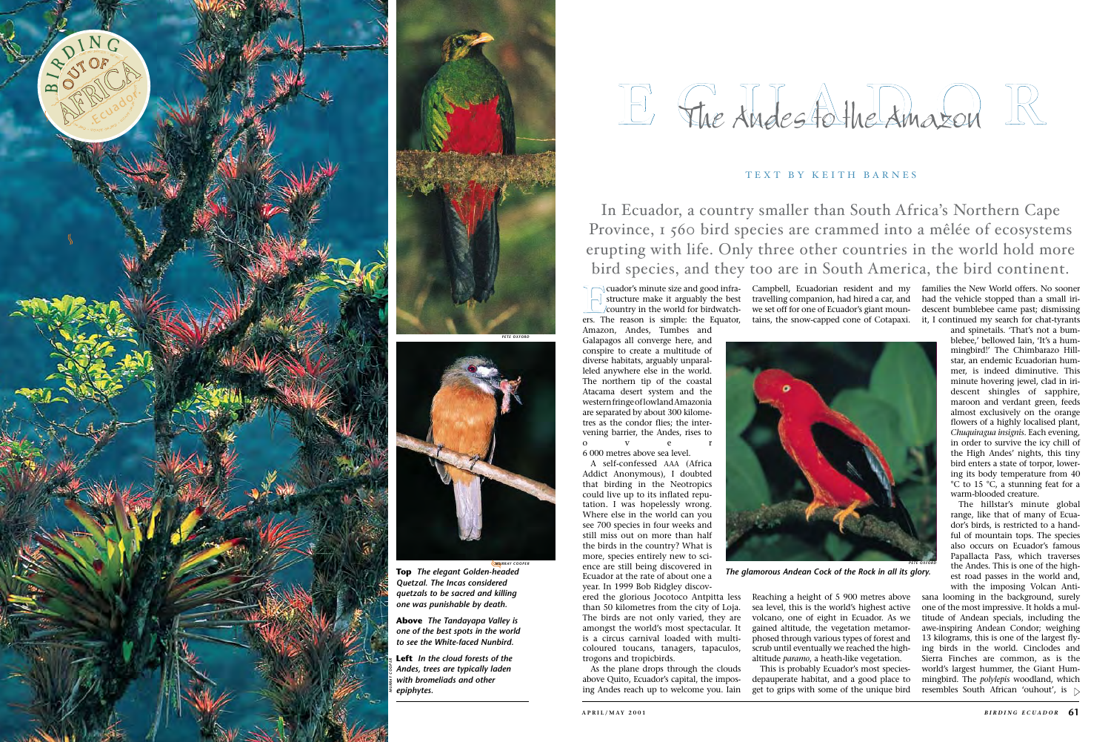structure make it arguably the best country in the world for birdwatch ers. The reason is simple: the Equator, Amazon, Andes, Tumbes and Galapagos all converge here, and conspire to create a multitude of diverse habitats, arguably unparal leled anywhere else in the world. The northern tip of the coastal Atacama desert system and the western fringe of lowland Amazonia are separated by about 300 kilome tres as the condor flies; the inter vening barrier, the Andes, rises to o v e r 6 000 metres above sea level.

A self-confessed AAA (Africa Addict Anonymous), I doubted that birding in the Neotropics could live up to its inflated reputation. I was hopelessly wrong. Where else in the world can you see 700 species in four weeks and still miss out on more than half the birds in the country? What is more, species entirely new to science are still being discovered in Ecuador at the rate of about one a year. In 1999 Bob Ridgley discov-

ered the glorious Jocotoco Antpitta less than 50 kilometres from the city of Loja. The birds are not only varied, they are amongst the world's most spectacular. It is a circus carnival loaded with multicoloured toucans, tanagers, tapaculos, trogons and tropicbirds.

As the plane drops through the clouds above Quito, Ecuador's capital, the impos ing Andes reach up to welcome you. Iain sana looming in the background, surely one of the most impressive. It holds a mul titude of Andean specials, including the awe-inspiring Andean Condor; weighing 13 kilograms, this is one of the largest fly ing birds in the world. Cinclodes and Sierra Finches are common, as is the world's largest hummer, the Giant Hum mingbird. The *polylepis* woodland, which resembles South African 'ouhout', is  $\triangleright$ 

Reaching a height of 5 900 metres above sea level, this is the world's highest active volcano, one of eight in Ecuador. As we gained altitude, the vegetation metamor phosed through various types of forest and scrub until eventually we reached the highaltitude *paramo*, a heath-like vegetation.

Campbell, Ecuadorian resident and my families the New World offers. No sooner travelling companion, had hired a car, and we set off for one of Ecuador's giant moun tains, the snow-capped cone of Cotapaxi. had the vehicle stopped than a small iridescent bumblebee came past; dismissing it, I continued my search for chat-tyrants

This is probably Ecuador's most speciesdepauperate habitat, and a good place to get to grips with some of the unique bird





and spinetails. 'That's not a bum blebee,' bellowed Iain, 'It's a hum mingbird!' The Chimbarazo Hill star, an endemic Ecuadorian hum mer, is indeed diminutive. This minute hovering jewel, clad in iri descent shingles of sapphire, maroon and verdant green, feeds almost exclusively on the orange flowers of a highly localised plant, *Chuquiragua insignis*. Each evening, in order to survive the icy chill of the High Andes' nights, this tiny bird enters a state of torpor, lower ing its body temperature from 40 °C to 15 °C, a stunning feat for a warm-blooded creature.

The hillstar's minute global range, like that of many of Ecua dor's birds, is restricted to a hand ful of mountain tops. The species also occurs on Ecuador's famous Papallacta Pass, which traverses the Andes. This is one of the high est road passes in the world and, with the imposing Volcan Anti -

**Top** *The elegant Golden-headed Quetzal. The Incas considered quetzals to be sacred and killing one was punishable by death.*

**Above** *The Tandayapa Valley is one of the best spots in the world to see the White-faced Nunbird.*



**Left** *In the cloud forests of the Andes, trees are typically laden with bromeliads and other* 

# E Fire Andes to the Amazon The American to the Amazon

## TEXT BY KEITH BARNES

*The glamorous Andean Cock of the Rock in all its glory.*



In Ecuador, a country smaller than South Africa's Northern Cape Province, 1 560 bird species are crammed into a mêlée of ecosystems erupting with life. Only three other countries in the world hold more bird species, and they too are in South America, the bird continent.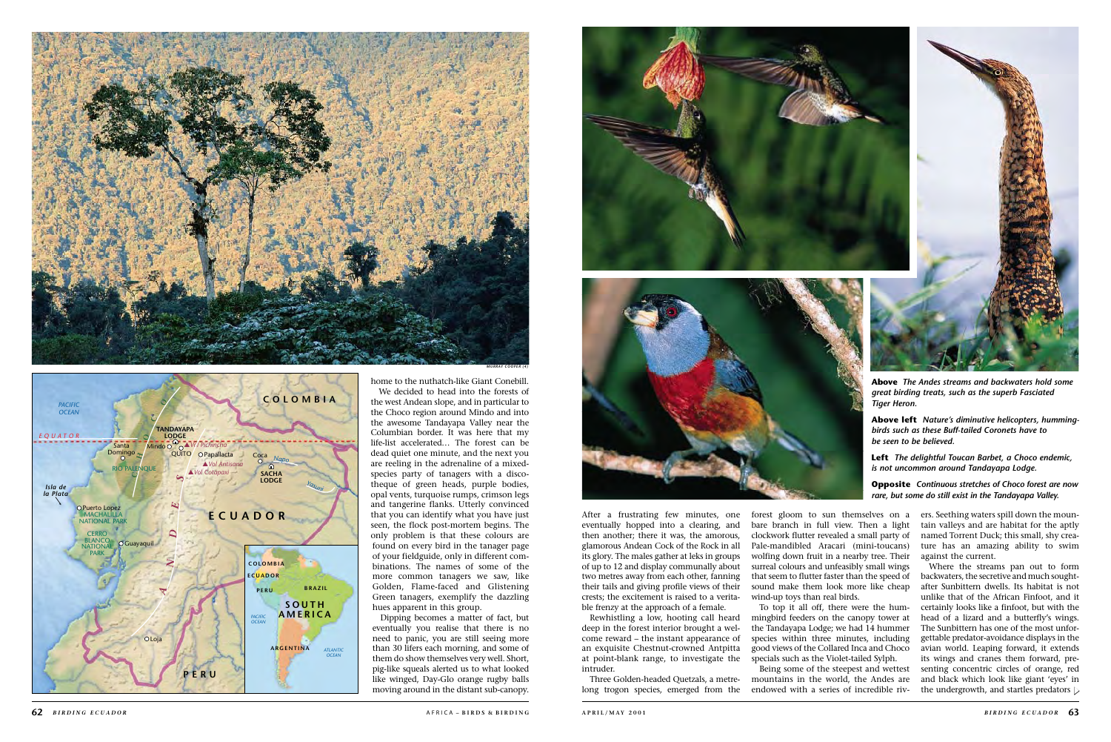eventually hopped into a clearing, and then another; there it was, the amorous, glamorous Andean Cock of the Rock in all its glory. The males gather at leks in groups of up to 12 and display communally about two metres away from each other, fanning their tails and giving profile views of their crests; the excitement is raised to a veritable frenzy at the approach of a female.

Rewhistling a low, hooting call heard deep in the forest interior brought a welcome reward – the instant appearance of an exquisite Chestnut-crowned Antpitta at point-blank range, to investigate the intruder.

Three Golden-headed Quetzals, a metrelong trogon species, emerged from the

Where the streams pan out to form backwaters, the secretive and much soughtafter Sunbittern dwells. Its habitat is not unlike that of the African Finfoot, and it certainly looks like a finfoot, but with the head of a lizard and a butterfly's wings. The Sunbittern has one of the most unforgettable predator-avoidance displays in the avian world. Leaping forward, it extends its wings and cranes them forward, presenting concentric circles of orange, red and black which look like giant 'eyes' in the undergrowth, and startles predators  $\triangleright$ 

bare branch in full view. Then a light clockwork flutter revealed a small party of Pale-mandibled Aracari (mini-toucans) wolfing down fruit in a nearby tree. Their surreal colours and unfeasibly small wings that seem to flutter faster than the speed of sound make them look more like cheap wind-up toys than real birds.

To top it all off, there were the hummingbird feeders on the canopy tower at the Tandayapa Lodge; we had 14 hummer species within three minutes, including good views of the Collared Inca and Choco specials such as the Violet-tailed Sylph.

Being some of the steepest and wettest mountains in the world, the Andes are endowed with a series of incredible rivtain valleys and are habitat for the aptly named Torrent Duck; this small, shy creature has an amazing ability to swim against the current.



home to the nuthatch-like Giant Conebill. We decided to head into the forests of the west Andean slope, and in particular to the Choco region around Mindo and into the awesome Tandayapa Valley near the Columbian border. It was here that my life-list accelerated... The forest can be dead quiet one minute, and the next you are reeling in the adrenaline of a mixedspecies party of tanagers with a discotheque of green heads, purple bodies, opal vents, turquoise rumps, crimson legs and tangerine flanks. Utterly convinced that you can identify what you have just seen, the flock post-mortem begins. The only problem is that these colours are found on every bird in the tanager page of your fieldguide, only in different combinations. The names of some of the more common tanagers we saw, like Golden, Flame-faced and Glistening Green tanagers, exemplify the dazzling hues apparent in this group.

Dipping becomes a matter of fact, but eventually you realise that there is no need to panic, you are still seeing more than 30 lifers each morning, and some of them do show themselves very well. Short, pig-like squeals alerted us to what looked like winged, Day-Glo orange rugby balls moving around in the distant sub-canopy.